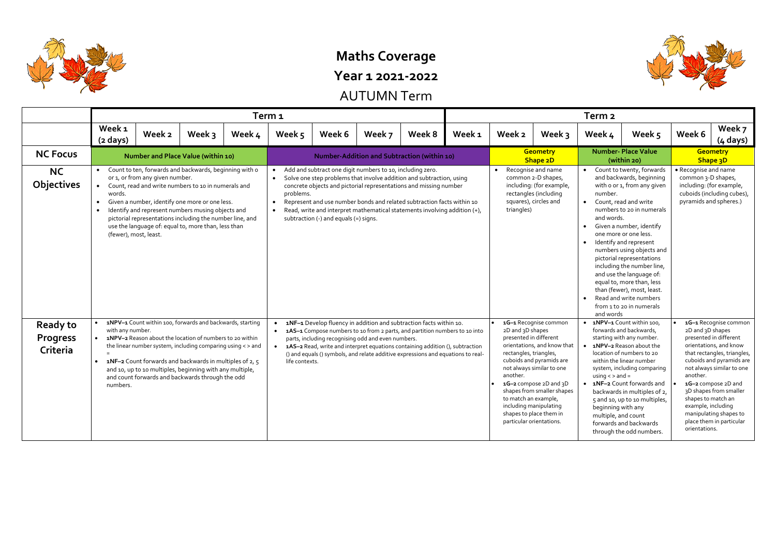

# **Maths Coverage**

**Year 1 2021-2022**

AUTUMN Term

|                                                | Term <sub>1</sub>                       |                                                                                                                                                                                                                                                                                                                                                                                                       |        |        |                                             |                                       |                                                           |                                                                                                                                                                                                                                                                                                                           |        | Term <sub>2</sub>                                                                                        |                                                                                                                                                                                                                                                        |                                                                           |                                                                                                                                                                                                                                                                                                                                                                                                                                                                |                           |                                                                                                                                                                                                                                                                                                                                          |  |
|------------------------------------------------|-----------------------------------------|-------------------------------------------------------------------------------------------------------------------------------------------------------------------------------------------------------------------------------------------------------------------------------------------------------------------------------------------------------------------------------------------------------|--------|--------|---------------------------------------------|---------------------------------------|-----------------------------------------------------------|---------------------------------------------------------------------------------------------------------------------------------------------------------------------------------------------------------------------------------------------------------------------------------------------------------------------------|--------|----------------------------------------------------------------------------------------------------------|--------------------------------------------------------------------------------------------------------------------------------------------------------------------------------------------------------------------------------------------------------|---------------------------------------------------------------------------|----------------------------------------------------------------------------------------------------------------------------------------------------------------------------------------------------------------------------------------------------------------------------------------------------------------------------------------------------------------------------------------------------------------------------------------------------------------|---------------------------|------------------------------------------------------------------------------------------------------------------------------------------------------------------------------------------------------------------------------------------------------------------------------------------------------------------------------------------|--|
|                                                | Week <sub>1</sub><br>$(2 \text{ days})$ | Week 2                                                                                                                                                                                                                                                                                                                                                                                                | Week 3 | Week 4 | Week 5                                      | Week 6                                | Week 7                                                    | Week 8                                                                                                                                                                                                                                                                                                                    | Week 1 | Week 2                                                                                                   | Week 3                                                                                                                                                                                                                                                 | Week 4                                                                    | Week 5                                                                                                                                                                                                                                                                                                                                                                                                                                                         | Week 6                    | Week 7<br>$(4 \text{ days})$                                                                                                                                                                                                                                                                                                             |  |
| <b>NC Focus</b>                                |                                         | Number and Place Value (within 10)                                                                                                                                                                                                                                                                                                                                                                    |        |        | Number-Addition and Subtraction (within 10) |                                       |                                                           |                                                                                                                                                                                                                                                                                                                           |        |                                                                                                          | <b>Geometry</b><br>Shape 2D                                                                                                                                                                                                                            |                                                                           | <b>Number- Place Value</b><br>(within 20)                                                                                                                                                                                                                                                                                                                                                                                                                      |                           | <b>Geometry</b><br>Shape 3D                                                                                                                                                                                                                                                                                                              |  |
| <b>NC</b><br>Objectives                        | words.                                  | • Count to ten, forwards and backwards, beginning with o<br>or 1, or from any given number.<br>Count, read and write numbers to 10 in numerals and<br>Given a number, identify one more or one less.<br>Identify and represent numbers musing objects and<br>pictorial representations including the number line, and<br>use the language of: equal to, more than, less than<br>(fewer), most, least. |        |        | problems.                                   | subtraction (-) and equals (=) signs. | Add and subtract one digit numbers to 10, including zero. | Solve one step problems that involve addition and subtraction, using<br>concrete objects and pictorial representations and missing number<br>Represent and use number bonds and related subtraction facts within 10<br>Read, write and interpret mathematical statements involving addition (+),                          |        | $\bullet$<br>triangles)                                                                                  | Recognise and name<br>common 2-D shapes,<br>including: (for example,<br>rectangles (including<br>squares), circles and                                                                                                                                 | number.<br>$\bullet$<br>and words.<br>$\bullet$<br>$\bullet$<br>and words | Count to twenty, forwards<br>and backwards, beginning<br>with o or 1, from any given<br>Count, read and write<br>numbers to 20 in numerals<br>Given a number, identify<br>one more or one less.<br>Identify and represent<br>numbers using objects and<br>pictorial representations<br>including the number line,<br>and use the language of:<br>equal to, more than, less<br>than (fewer), most, least.<br>Read and write numbers<br>from 1 to 20 in numerals |                           | • Recognise and name<br>common 3-D shapes,<br>including: (for example,<br>cuboids (including cubes),<br>pyramids and spheres.)                                                                                                                                                                                                           |  |
| <b>Ready to</b><br><b>Progress</b><br>Criteria | with any number.<br>numbers.            | 1NPV-1 Count within 100, forwards and backwards, starting<br>1NPV-2 Reason about the location of numbers to 20 within<br>the linear number system, including comparing using < > and<br>1NF-2 Count forwards and backwards in multiples of 2, 5<br>and 10, up to 10 multiples, beginning with any multiple,<br>and count forwards and backwards through the odd                                       |        |        | life contexts.                              |                                       | parts, including recognising odd and even numbers.        | 1NF-1 Develop fluency in addition and subtraction facts within 10.<br>• 1AS-1 Compose numbers to 10 from 2 parts, and partition numbers to 10 into<br>• 1AS-2 Read, write and interpret equations containing addition (), subtraction<br>() and equals () symbols, and relate additive expressions and equations to real- |        | 2D and 3D shapes<br>presented in different<br>rectangles, triangles,<br>another.<br>to match an example, | 1G-1 Recognise common<br>orientations, and know that<br>cuboids and pyramids are<br>not always similar to one<br>1G-2 compose 2D and 3D<br>shapes from smaller shapes<br>including manipulating<br>shapes to place them in<br>particular orientations. | $using <$ and =<br>beginning with any<br>multiple, and count              | • 1NPV-1 Count within 100,<br>forwards and backwards,<br>starting with any number.<br>• 1NPV-2 Reason about the<br>location of numbers to 20<br>within the linear number<br>system, including comparing<br>• 1NF-2 Count forwards and<br>backwards in multiples of 2,<br>5 and 10, up to 10 multiples,<br>forwards and backwards<br>through the odd numbers.                                                                                                   | another.<br>orientations. | 1G-1 Recognise common<br>2D and 3D shapes<br>presented in different<br>orientations, and know<br>that rectangles, triangles,<br>cuboids and pyramids are<br>not always similar to one<br>1G-2 compose 2D and<br>3D shapes from smaller<br>shapes to match an<br>example, including<br>manipulating shapes to<br>place them in particular |  |

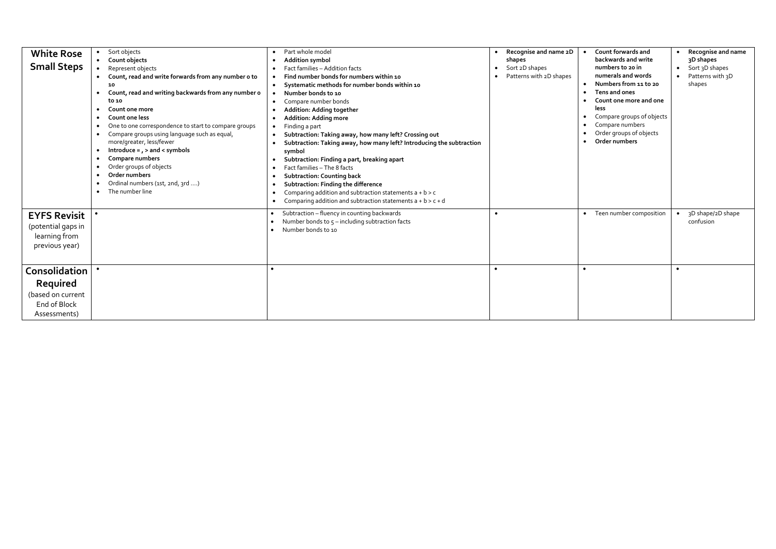| <b>White Rose</b><br><b>Small Steps</b>                                        | Sort objects<br>Count objects<br>Represent objects<br>Count, read and write forwards from any number o to<br>10<br>Count, read and writing backwards from any number o<br>to 10<br>Count one more<br>Count one less<br>One to one correspondence to start to compare groups<br>Compare groups using language such as equal,<br>more/greater, less/fewer<br>Introduce = $, >$ and < symbols<br>Compare numbers<br>Order groups of objects<br>Order numbers<br>Ordinal numbers (1st, 2nd, 3rd )<br>The number line<br>$\bullet$ | Part whole model<br><b>Addition symbol</b><br>Fact families - Addition facts<br>Find number bonds for numbers within 10<br>Systematic methods for number bonds within 10<br>Number bonds to 10<br>Compare number bonds<br>Addition: Adding together<br><b>Addition: Adding more</b><br>Finding a part<br>Subtraction: Taking away, how many left? Crossing out<br>Subtraction: Taking away, how many left? Introducing the subtraction<br>symbol<br>Subtraction: Finding a part, breaking apart<br>Fact families - The 8 facts<br><b>Subtraction: Counting back</b><br>Subtraction: Finding the difference<br>Comparing addition and subtraction statements $a + b > c$<br>Comparing addition and subtraction statements $a + b > c + d$<br>$\bullet$ | Recognise and name 2D<br>$\bullet$<br>shapes<br>Sort 2D shapes<br>Patterns with 2D shapes | Count forwards and<br>backwards and write<br>numbers to 20 in<br>numerals and words<br>Numbers from 11 to 20<br>Tens and ones<br>$\bullet$<br>Count one more and one<br><b>less</b><br>Compare groups of objects<br>$\bullet$<br>Compare numbers<br>Order groups of objects<br>Order numbers | Recognise and name<br>3D shapes<br>Sort 3D shapes<br>$\bullet$<br>Patterns with 3D<br>shapes |
|--------------------------------------------------------------------------------|-------------------------------------------------------------------------------------------------------------------------------------------------------------------------------------------------------------------------------------------------------------------------------------------------------------------------------------------------------------------------------------------------------------------------------------------------------------------------------------------------------------------------------|-------------------------------------------------------------------------------------------------------------------------------------------------------------------------------------------------------------------------------------------------------------------------------------------------------------------------------------------------------------------------------------------------------------------------------------------------------------------------------------------------------------------------------------------------------------------------------------------------------------------------------------------------------------------------------------------------------------------------------------------------------|-------------------------------------------------------------------------------------------|----------------------------------------------------------------------------------------------------------------------------------------------------------------------------------------------------------------------------------------------------------------------------------------------|----------------------------------------------------------------------------------------------|
| <b>EYFS Revisit</b><br>(potential gaps in<br>learning from<br>previous year)   |                                                                                                                                                                                                                                                                                                                                                                                                                                                                                                                               | Subtraction - fluency in counting backwards<br>Number bonds to $5$ – including subtraction facts<br>Number bonds to 10                                                                                                                                                                                                                                                                                                                                                                                                                                                                                                                                                                                                                                | $\bullet$                                                                                 | Teen number composition                                                                                                                                                                                                                                                                      | 3D shape/2D shape<br>confusion                                                               |
| Consolidation<br>Required<br>(based on current<br>End of Block<br>Assessments) |                                                                                                                                                                                                                                                                                                                                                                                                                                                                                                                               |                                                                                                                                                                                                                                                                                                                                                                                                                                                                                                                                                                                                                                                                                                                                                       | $\bullet$                                                                                 |                                                                                                                                                                                                                                                                                              |                                                                                              |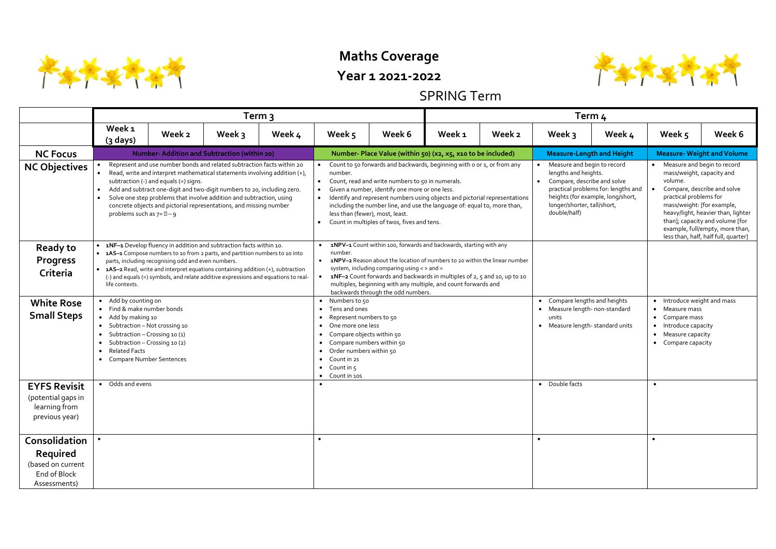

## **Maths Coverage**

#### **Year 1 2021-2022**

### SPRING Term

|                                                                                | Term วุ                                                                                                                                                                                                                                                                                                                                                                                                                                                                        |                                                                                                                                                                                                                                                                                                                                                                                      |        |        |                                                                                                                                                                                                                                                                                                                                                                                                                                                               |                                                                                                                                                                                                                                                                                                                                                                                     |        | Term 4 |           |                                                                                                                                                                                                                                                                                                                                                                                                                                                                                                                                                |                                                                                                     |                                                                                                                                                |                                   |  |  |
|--------------------------------------------------------------------------------|--------------------------------------------------------------------------------------------------------------------------------------------------------------------------------------------------------------------------------------------------------------------------------------------------------------------------------------------------------------------------------------------------------------------------------------------------------------------------------|--------------------------------------------------------------------------------------------------------------------------------------------------------------------------------------------------------------------------------------------------------------------------------------------------------------------------------------------------------------------------------------|--------|--------|---------------------------------------------------------------------------------------------------------------------------------------------------------------------------------------------------------------------------------------------------------------------------------------------------------------------------------------------------------------------------------------------------------------------------------------------------------------|-------------------------------------------------------------------------------------------------------------------------------------------------------------------------------------------------------------------------------------------------------------------------------------------------------------------------------------------------------------------------------------|--------|--------|-----------|------------------------------------------------------------------------------------------------------------------------------------------------------------------------------------------------------------------------------------------------------------------------------------------------------------------------------------------------------------------------------------------------------------------------------------------------------------------------------------------------------------------------------------------------|-----------------------------------------------------------------------------------------------------|------------------------------------------------------------------------------------------------------------------------------------------------|-----------------------------------|--|--|
|                                                                                | Week <sub>1</sub><br>(3 days)                                                                                                                                                                                                                                                                                                                                                                                                                                                  | Week 2                                                                                                                                                                                                                                                                                                                                                                               | Week 3 | Week 4 | Week 5                                                                                                                                                                                                                                                                                                                                                                                                                                                        | Week 6                                                                                                                                                                                                                                                                                                                                                                              | Week 1 | Week 2 |           | Week 3                                                                                                                                                                                                                                                                                                                                                                                                                                                                                                                                         | Week 4                                                                                              | Week 5                                                                                                                                         | Week 6                            |  |  |
| <b>NC Focus</b>                                                                |                                                                                                                                                                                                                                                                                                                                                                                                                                                                                | Number-Addition and Subtraction (within 20)                                                                                                                                                                                                                                                                                                                                          |        |        |                                                                                                                                                                                                                                                                                                                                                                                                                                                               | Number- Place Value (within 50) (x2, x5, x10 to be included)                                                                                                                                                                                                                                                                                                                        |        |        |           |                                                                                                                                                                                                                                                                                                                                                                                                                                                                                                                                                | <b>Measure-Length and Height</b>                                                                    |                                                                                                                                                | <b>Measure- Weight and Volume</b> |  |  |
| <b>NC Objectives</b>                                                           | Represent and use number bonds and related subtraction facts within 20<br>Read, write and interpret mathematical statements involving addition $(+)$ ,<br>subtraction (-) and equals (=) signs.<br>Add and subtract one-digit and two-digit numbers to 20, including zero.<br>Solve one step problems that involve addition and subtraction, using<br>$\bullet$<br>concrete objects and pictorial representations, and missing number<br>problems such as $7 = \mathbb{Z} - 9$ |                                                                                                                                                                                                                                                                                                                                                                                      |        |        | Count to 50 forwards and backwards, beginning with o or 1, or from any<br>number.<br>Count, read and write numbers to 50 in numerals.<br>$\bullet$<br>Given a number, identify one more or one less.<br>Identify and represent numbers using objects and pictorial representations<br>$\bullet$<br>including the number line, and use the language of: equal to, more than,<br>less than (fewer), most, least.<br>Count in multiples of twos, fives and tens. |                                                                                                                                                                                                                                                                                                                                                                                     |        |        | $\bullet$ | Measure and begin to record<br>• Measure and begin to record<br>lengths and heights.<br>mass/weight, capacity and<br>Compare, describe and solve<br>volume.<br>practical problems for: lengths and<br>Compare, describe and solve<br>$\bullet$<br>heights (for example, long/short,<br>practical problems for<br>longer/shorter, tall/short,<br>mass/weight: [for example,<br>double/half)<br>heavy/light, heavier than, lighter<br>than]; capacity and volume [for<br>example, full/empty, more than,<br>less than, half, half full, quarter] |                                                                                                     |                                                                                                                                                |                                   |  |  |
| <b>Ready to</b><br><b>Progress</b><br>Criteria                                 | life contexts.                                                                                                                                                                                                                                                                                                                                                                                                                                                                 | • 1NF-1 Develop fluency in addition and subtraction facts within 10.<br>• 1AS-1 Compose numbers to 10 from 2 parts, and partition numbers to 10 into<br>parts, including recognising odd and even numbers.<br>• 1AS-2 Read, write and interpret equations containing addition (+), subtraction<br>(-) and equals (=) symbols, and relate additive expressions and equations to real- |        |        | $\bullet$<br>number.<br>$\bullet$                                                                                                                                                                                                                                                                                                                                                                                                                             | 1NPV-1 Count within 100, forwards and backwards, starting with any<br>1NPV-2 Reason about the location of numbers to 20 within the linear number<br>system, including comparing using < > and =<br>1NF-2 Count forwards and backwards in multiples of 2, 5 and 10, up to 10<br>multiples, beginning with any multiple, and count forwards and<br>backwards through the odd numbers. |        |        |           |                                                                                                                                                                                                                                                                                                                                                                                                                                                                                                                                                |                                                                                                     |                                                                                                                                                |                                   |  |  |
| <b>White Rose</b><br><b>Small Steps</b>                                        | Add by counting on<br>• Find & make number bonds<br>• Add by making 10<br>$\bullet$<br>Subtraction - Crossing 10 (1)<br>$\bullet$<br>Subtraction - Crossing 10 (2)<br><b>Related Facts</b><br>$\bullet$<br><b>Compare Number Sentences</b>                                                                                                                                                                                                                                     | Subtraction - Not crossing 10                                                                                                                                                                                                                                                                                                                                                        |        |        | • Numbers to 50<br>Tens and ones<br>$\bullet$<br>Represent numbers to 50<br>$\bullet$<br>One more one less<br>$\bullet$<br>Compare objects within 50<br>$\bullet$<br>Compare numbers within 50<br>$\bullet$<br>Order numbers within 50<br>$\bullet$<br>$\bullet$ Count in 25<br>$\bullet$ Count in 5<br>• Count in 10s                                                                                                                                        |                                                                                                                                                                                                                                                                                                                                                                                     |        |        | units     |                                                                                                                                                                                                                                                                                                                                                                                                                                                                                                                                                | • Compare lengths and heights<br>• Measure length- non-standard<br>• Measure length- standard units | • Introduce weight and mass<br>• Measure mass<br>• Compare mass<br>• Introduce capacity<br>Measure capacity<br>$\bullet$<br>• Compare capacity |                                   |  |  |
| <b>EYFS Revisit</b><br>(potential gaps in<br>learning from<br>previous year)   | • Odds and evens                                                                                                                                                                                                                                                                                                                                                                                                                                                               |                                                                                                                                                                                                                                                                                                                                                                                      |        |        | $\bullet$                                                                                                                                                                                                                                                                                                                                                                                                                                                     |                                                                                                                                                                                                                                                                                                                                                                                     |        |        |           | • Double facts                                                                                                                                                                                                                                                                                                                                                                                                                                                                                                                                 |                                                                                                     | $\bullet$                                                                                                                                      |                                   |  |  |
| Consolidation<br>Required<br>(based on current<br>End of Block<br>Assessments) |                                                                                                                                                                                                                                                                                                                                                                                                                                                                                |                                                                                                                                                                                                                                                                                                                                                                                      |        |        | $\bullet$                                                                                                                                                                                                                                                                                                                                                                                                                                                     |                                                                                                                                                                                                                                                                                                                                                                                     |        |        | $\bullet$ |                                                                                                                                                                                                                                                                                                                                                                                                                                                                                                                                                |                                                                                                     |                                                                                                                                                |                                   |  |  |

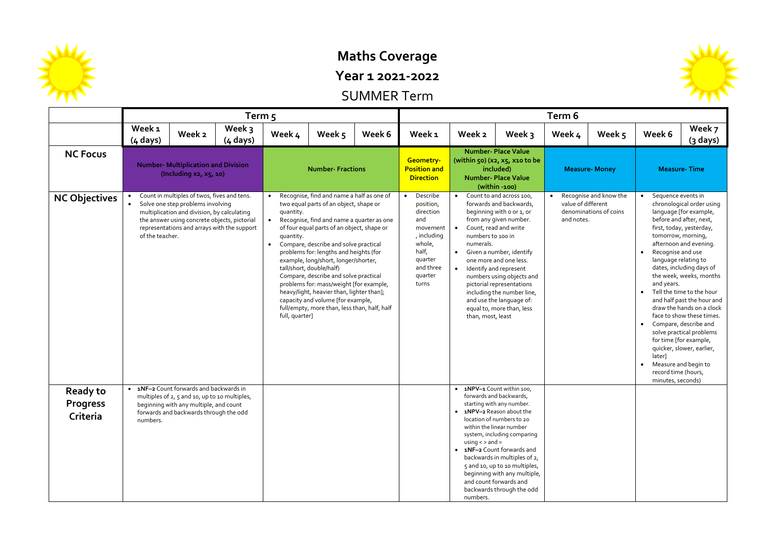

## **Maths Coverage**

**Year 1 2021-2022**

SUMMER Term

|                                                |                                                                                                                                                                                                                                                   |                                                                                                                                                                              | Term 5                                                                                                                                                                                                                                                                                                                                                                                                                                                                                                                                                                                                                            |                          |        |                                                                                                                                                  | Term 6                                                           |                                                                                                                                                                                                                                                                                                                                                                      |                                                                                                                                                                                                                                                                                                                                    |                                                  |                                                                                                                                                                                                                                                                                                                                                                                                                                                                                                                                                                                                           |                     |                    |  |
|------------------------------------------------|---------------------------------------------------------------------------------------------------------------------------------------------------------------------------------------------------------------------------------------------------|------------------------------------------------------------------------------------------------------------------------------------------------------------------------------|-----------------------------------------------------------------------------------------------------------------------------------------------------------------------------------------------------------------------------------------------------------------------------------------------------------------------------------------------------------------------------------------------------------------------------------------------------------------------------------------------------------------------------------------------------------------------------------------------------------------------------------|--------------------------|--------|--------------------------------------------------------------------------------------------------------------------------------------------------|------------------------------------------------------------------|----------------------------------------------------------------------------------------------------------------------------------------------------------------------------------------------------------------------------------------------------------------------------------------------------------------------------------------------------------------------|------------------------------------------------------------------------------------------------------------------------------------------------------------------------------------------------------------------------------------------------------------------------------------------------------------------------------------|--------------------------------------------------|-----------------------------------------------------------------------------------------------------------------------------------------------------------------------------------------------------------------------------------------------------------------------------------------------------------------------------------------------------------------------------------------------------------------------------------------------------------------------------------------------------------------------------------------------------------------------------------------------------------|---------------------|--------------------|--|
|                                                | Week <sub>1</sub><br>$(4 \text{ days})$                                                                                                                                                                                                           | Week 2                                                                                                                                                                       | Week 3<br>$(4 \text{ days})$                                                                                                                                                                                                                                                                                                                                                                                                                                                                                                                                                                                                      | Week 4                   | Week 5 | Week 6                                                                                                                                           | Week <sub>1</sub>                                                | Week 2                                                                                                                                                                                                                                                                                                                                                               | Week 3                                                                                                                                                                                                                                                                                                                             | Week 4                                           | Week 5                                                                                                                                                                                                                                                                                                                                                                                                                                                                                                                                                                                                    | Week 6              | Week 7<br>(3 days) |  |
| <b>NC Focus</b>                                | <b>Number- Multiplication and Division</b><br>(Including $xz$ , $x5$ , 10)                                                                                                                                                                        |                                                                                                                                                                              |                                                                                                                                                                                                                                                                                                                                                                                                                                                                                                                                                                                                                                   | <b>Number- Fractions</b> |        |                                                                                                                                                  | Geometry-<br><b>Position and</b><br><b>Direction</b>             |                                                                                                                                                                                                                                                                                                                                                                      | <b>Number- Place Value</b><br>(within 50) (x2, x5, x10 to be<br>included)<br><b>Number- Place Value</b><br>$(within -100)$                                                                                                                                                                                                         |                                                  | <b>Measure- Money</b>                                                                                                                                                                                                                                                                                                                                                                                                                                                                                                                                                                                     | <b>Measure-Time</b> |                    |  |
| <b>NC Objectives</b>                           | Count in multiples of twos, fives and tens.<br>Solve one step problems involving<br>multiplication and division, by calculating<br>the answer using concrete objects, pictorial<br>representations and arrays with the support<br>of the teacher. |                                                                                                                                                                              | Recognise, find and name a half as one of<br>two equal parts of an object, shape or<br>quantity.<br>Recognise, find and name a quarter as one<br>$\bullet$<br>of four equal parts of an object, shape or<br>quantity.<br>Compare, describe and solve practical<br>$\bullet$<br>problems for: lengths and heights (for<br>example, long/short, longer/shorter,<br>tall/short, double/half)<br>Compare, describe and solve practical<br>problems for: mass/weight [for example,<br>heavy/light, heavier than, lighter than];<br>capacity and volume [for example,<br>full/empty, more than, less than, half, half<br>full, quarter] |                          |        | Describe<br>$\bullet$<br>position,<br>direction<br>and<br>movement<br>, including<br>whole,<br>half,<br>quarter<br>and three<br>quarter<br>turns | numbers to 100 in<br>numerals.<br>$\bullet$<br>than, most, least | Count to and across 100,<br>forwards and backwards,<br>beginning with o or 1, or<br>from any given number.<br>Count, read and write<br>Given a number, identify<br>one more and one less.<br>Identify and represent<br>numbers using objects and<br>pictorial representations<br>including the number line,<br>and use the language of:<br>equal to, more than, less | value of different<br>and notes.                                                                                                                                                                                                                                                                                                   | Recognise and know the<br>denominations of coins | Sequence events in<br>chronological order using<br>language [for example,<br>before and after, next,<br>first, today, yesterday,<br>tomorrow, morning,<br>afternoon and evening.<br>Recognise and use<br>language relating to<br>dates, including days of<br>the week, weeks, months<br>and years.<br>Tell the time to the hour<br>and half past the hour and<br>draw the hands on a clock<br>face to show these times.<br>Compare, describe and<br>$\bullet$<br>solve practical problems<br>for time [for example,<br>quicker, slower, earlier,<br>later]<br>Measure and begin to<br>record time (hours, |                     |                    |  |
| <b>Ready to</b><br><b>Progress</b><br>Criteria | numbers.                                                                                                                                                                                                                                          | • 1NF-2 Count forwards and backwards in<br>multiples of 2, 5 and 10, up to 10 multiples,<br>beginning with any multiple, and count<br>forwards and backwards through the odd |                                                                                                                                                                                                                                                                                                                                                                                                                                                                                                                                                                                                                                   |                          |        |                                                                                                                                                  |                                                                  | • 1NPV-1 Count within 100,<br>• 1NPV-2 Reason about the<br>$using <$ > and =<br>numbers.                                                                                                                                                                                                                                                                             | forwards and backwards,<br>starting with any number.<br>location of numbers to 20<br>within the linear number<br>system, including comparing<br>• 1NF-2 Count forwards and<br>backwards in multiples of 2,<br>5 and 10, up to 10 multiples,<br>beginning with any multiple,<br>and count forwards and<br>backwards through the odd |                                                  |                                                                                                                                                                                                                                                                                                                                                                                                                                                                                                                                                                                                           |                     |                    |  |